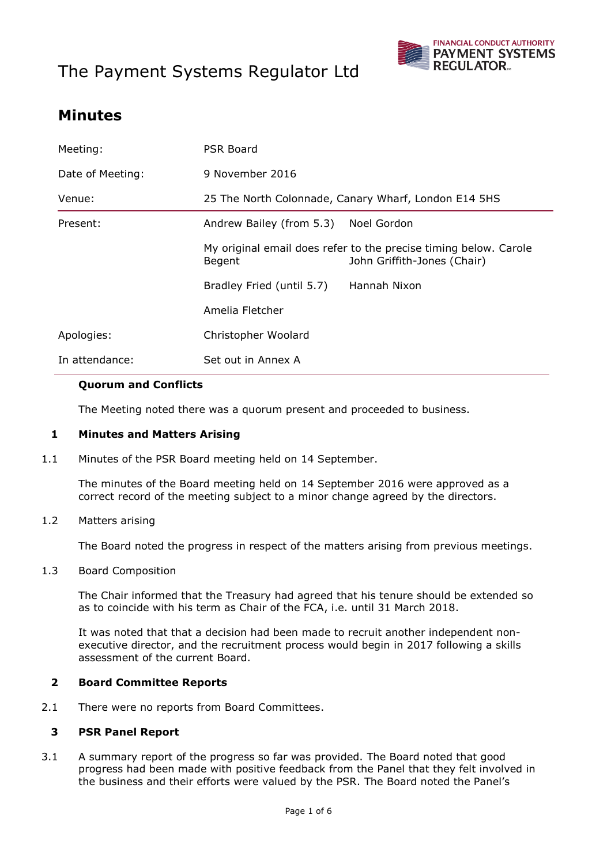# The Payment Systems Regulator Ltd



# **Minutes**

| Meeting:         | PSR Board                                            |                                                                                                 |
|------------------|------------------------------------------------------|-------------------------------------------------------------------------------------------------|
| Date of Meeting: | 9 November 2016                                      |                                                                                                 |
| Venue:           | 25 The North Colonnade, Canary Wharf, London E14 5HS |                                                                                                 |
| Present:         | Andrew Bailey (from 5.3)                             | Noel Gordon                                                                                     |
|                  | Begent                                               | My original email does refer to the precise timing below. Carole<br>John Griffith-Jones (Chair) |
|                  | Bradley Fried (until 5.7)                            | Hannah Nixon                                                                                    |
|                  | Amelia Fletcher                                      |                                                                                                 |
| Apologies:       | Christopher Woolard                                  |                                                                                                 |
| In attendance:   | Set out in Annex A                                   |                                                                                                 |

#### **Quorum and Conflicts**

The Meeting noted there was a quorum present and proceeded to business.

#### **1 Minutes and Matters Arising**

1.1 Minutes of the PSR Board meeting held on 14 September.

The minutes of the Board meeting held on 14 September 2016 were approved as a correct record of the meeting subject to a minor change agreed by the directors.

#### 1.2 Matters arising

The Board noted the progress in respect of the matters arising from previous meetings.

#### 1.3 Board Composition

The Chair informed that the Treasury had agreed that his tenure should be extended so as to coincide with his term as Chair of the FCA, i.e. until 31 March 2018.

It was noted that that a decision had been made to recruit another independent nonexecutive director, and the recruitment process would begin in 2017 following a skills assessment of the current Board.

#### **2 Board Committee Reports**

2.1 There were no reports from Board Committees.

#### **3 PSR Panel Report**

3.1 A summary report of the progress so far was provided. The Board noted that good progress had been made with positive feedback from the Panel that they felt involved in the business and their efforts were valued by the PSR. The Board noted the Panel's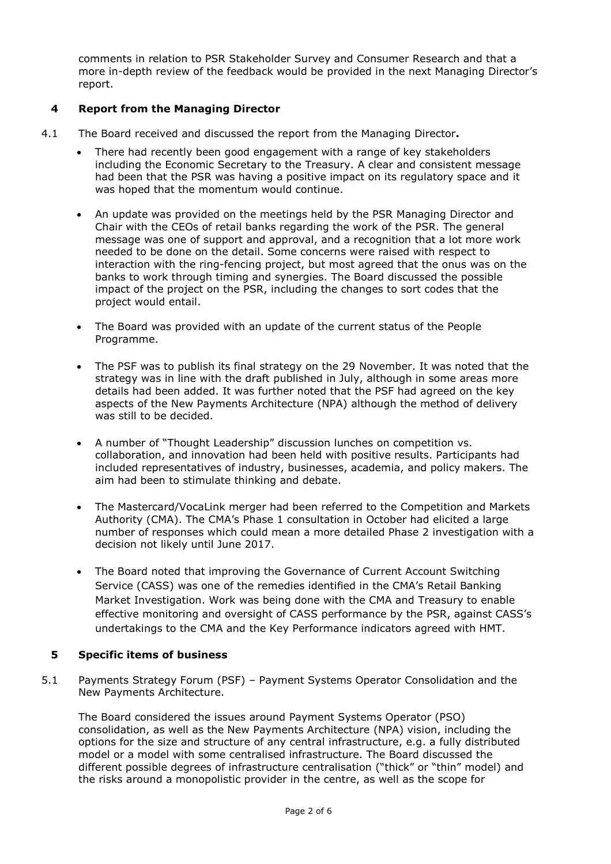comments in relation to PSR Stakeholder Survey and Consumer Research and that a more in-depth review of the feedback would be provided in the next Managing Director's report.

## **4 Report from the Managing Director**

- 4.1 The Board received and discussed the report from the Managing Director**.**
	- There had recently been good engagement with a range of key stakeholders including the Economic Secretary to the Treasury. A clear and consistent message had been that the PSR was having a positive impact on its regulatory space and it was hoped that the momentum would continue.
	- An update was provided on the meetings held by the PSR Managing Director and Chair with the CEOs of retail banks regarding the work of the PSR. The general message was one of support and approval, and a recognition that a lot more work needed to be done on the detail. Some concerns were raised with respect to interaction with the ring-fencing project, but most agreed that the onus was on the banks to work through timing and synergies. The Board discussed the possible impact of the project on the PSR, including the changes to sort codes that the project would entail.
	- The Board was provided with an update of the current status of the People Programme.
	- The PSF was to publish its final strategy on the 29 November. It was noted that the strategy was in line with the draft published in July, although in some areas more details had been added. It was further noted that the PSF had agreed on the key aspects of the New Payments Architecture (NPA) although the method of delivery was still to be decided.
	- A number of "Thought Leadership" discussion lunches on competition vs. collaboration, and innovation had been held with positive results. Participants had included representatives of industry, businesses, academia, and policy makers. The aim had been to stimulate thinking and debate.
	- The Mastercard/VocaLink merger had been referred to the Competition and Markets Authority (CMA). The CMA's Phase 1 consultation in October had elicited a large number of responses which could mean a more detailed Phase 2 investigation with a decision not likely until June 2017.
	- The Board noted that improving the Governance of Current Account Switching Service (CASS) was one of the remedies identified in the CMA's Retail Banking Market Investigation. Work was being done with the CMA and Treasury to enable effective monitoring and oversight of CASS performance by the PSR, against CASS's undertakings to the CMA and the Key Performance indicators agreed with HMT.

### **5 Specific items of business**

5.1 Payments Strategy Forum (PSF) – Payment Systems Operator Consolidation and the New Payments Architecture.

The Board considered the issues around Payment Systems Operator (PSO) consolidation, as well as the New Payments Architecture (NPA) vision, including the options for the size and structure of any central infrastructure, e.g. a fully distributed model or a model with some centralised infrastructure. The Board discussed the different possible degrees of infrastructure centralisation ("thick" or "thin" model) and the risks around a monopolistic provider in the centre, as well as the scope for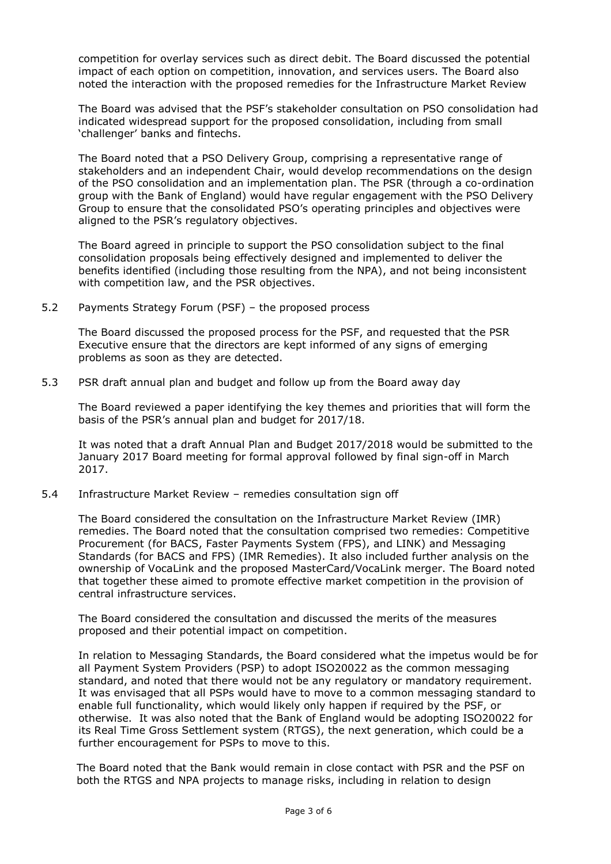competition for overlay services such as direct debit. The Board discussed the potential impact of each option on competition, innovation, and services users. The Board also noted the interaction with the proposed remedies for the Infrastructure Market Review

The Board was advised that the PSF's stakeholder consultation on PSO consolidation had indicated widespread support for the proposed consolidation, including from small 'challenger' banks and fintechs.

The Board noted that a PSO Delivery Group, comprising a representative range of stakeholders and an independent Chair, would develop recommendations on the design of the PSO consolidation and an implementation plan. The PSR (through a co-ordination group with the Bank of England) would have regular engagement with the PSO Delivery Group to ensure that the consolidated PSO's operating principles and objectives were aligned to the PSR's regulatory objectives.

The Board agreed in principle to support the PSO consolidation subject to the final consolidation proposals being effectively designed and implemented to deliver the benefits identified (including those resulting from the NPA), and not being inconsistent with competition law, and the PSR objectives.

5.2 Payments Strategy Forum (PSF) – the proposed process

The Board discussed the proposed process for the PSF, and requested that the PSR Executive ensure that the directors are kept informed of any signs of emerging problems as soon as they are detected.

5.3 PSR draft annual plan and budget and follow up from the Board away day

The Board reviewed a paper identifying the key themes and priorities that will form the basis of the PSR's annual plan and budget for 2017/18.

It was noted that a draft Annual Plan and Budget 2017/2018 would be submitted to the January 2017 Board meeting for formal approval followed by final sign-off in March 2017.

5.4 Infrastructure Market Review – remedies consultation sign off

The Board considered the consultation on the Infrastructure Market Review (IMR) remedies. The Board noted that the consultation comprised two remedies: Competitive Procurement (for BACS, Faster Payments System (FPS), and LINK) and Messaging Standards (for BACS and FPS) (IMR Remedies). It also included further analysis on the ownership of VocaLink and the proposed MasterCard/VocaLink merger. The Board noted that together these aimed to promote effective market competition in the provision of central infrastructure services.

The Board considered the consultation and discussed the merits of the measures proposed and their potential impact on competition.

In relation to Messaging Standards, the Board considered what the impetus would be for all Payment System Providers (PSP) to adopt ISO20022 as the common messaging standard, and noted that there would not be any regulatory or mandatory requirement. It was envisaged that all PSPs would have to move to a common messaging standard to enable full functionality, which would likely only happen if required by the PSF, or otherwise. It was also noted that the Bank of England would be adopting ISO20022 for its Real Time Gross Settlement system (RTGS), the next generation, which could be a further encouragement for PSPs to move to this.

The Board noted that the Bank would remain in close contact with PSR and the PSF on both the RTGS and NPA projects to manage risks, including in relation to design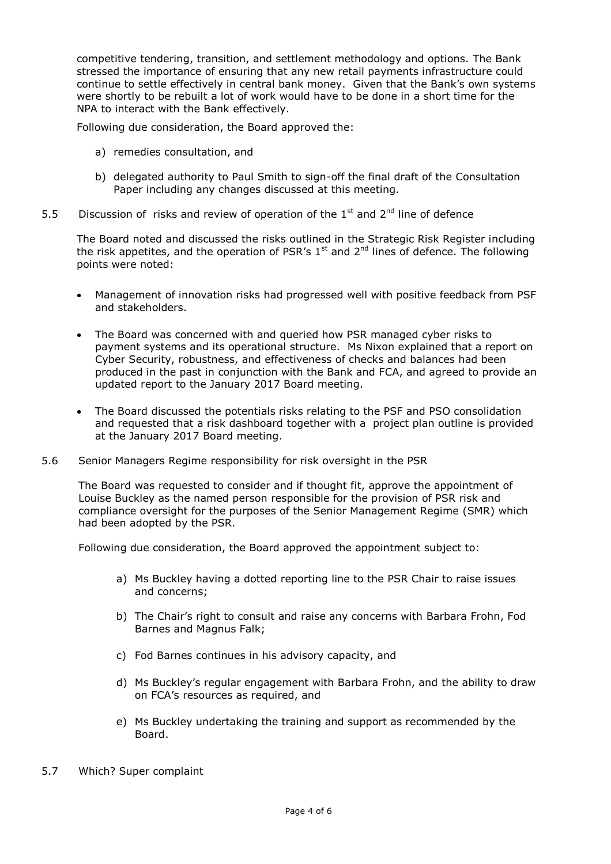competitive tendering, transition, and settlement methodology and options. The Bank stressed the importance of ensuring that any new retail payments infrastructure could continue to settle effectively in central bank money. Given that the Bank's own systems were shortly to be rebuilt a lot of work would have to be done in a short time for the NPA to interact with the Bank effectively.

Following due consideration, the Board approved the:

- a) remedies consultation, and
- b) delegated authority to Paul Smith to sign-off the final draft of the Consultation Paper including any changes discussed at this meeting.
- 5.5 Discussion of risks and review of operation of the  $1<sup>st</sup>$  and  $2<sup>nd</sup>$  line of defence

The Board noted and discussed the risks outlined in the Strategic Risk Register including the risk appetites, and the operation of PSR's  $1<sup>st</sup>$  and  $2<sup>nd</sup>$  lines of defence. The following points were noted:

- Management of innovation risks had progressed well with positive feedback from PSF and stakeholders.
- The Board was concerned with and queried how PSR managed cyber risks to payment systems and its operational structure. Ms Nixon explained that a report on Cyber Security, robustness, and effectiveness of checks and balances had been produced in the past in conjunction with the Bank and FCA, and agreed to provide an updated report to the January 2017 Board meeting.
- The Board discussed the potentials risks relating to the PSF and PSO consolidation and requested that a risk dashboard together with a project plan outline is provided at the January 2017 Board meeting.
- 5.6 Senior Managers Regime responsibility for risk oversight in the PSR

The Board was requested to consider and if thought fit, approve the appointment of Louise Buckley as the named person responsible for the provision of PSR risk and compliance oversight for the purposes of the Senior Management Regime (SMR) which had been adopted by the PSR.

Following due consideration, the Board approved the appointment subject to:

- a) Ms Buckley having a dotted reporting line to the PSR Chair to raise issues and concerns;
- b) The Chair's right to consult and raise any concerns with Barbara Frohn, Fod Barnes and Magnus Falk;
- c) Fod Barnes continues in his advisory capacity, and
- d) Ms Buckley's regular engagement with Barbara Frohn, and the ability to draw on FCA's resources as required, and
- e) Ms Buckley undertaking the training and support as recommended by the Board.
- 5.7 Which? Super complaint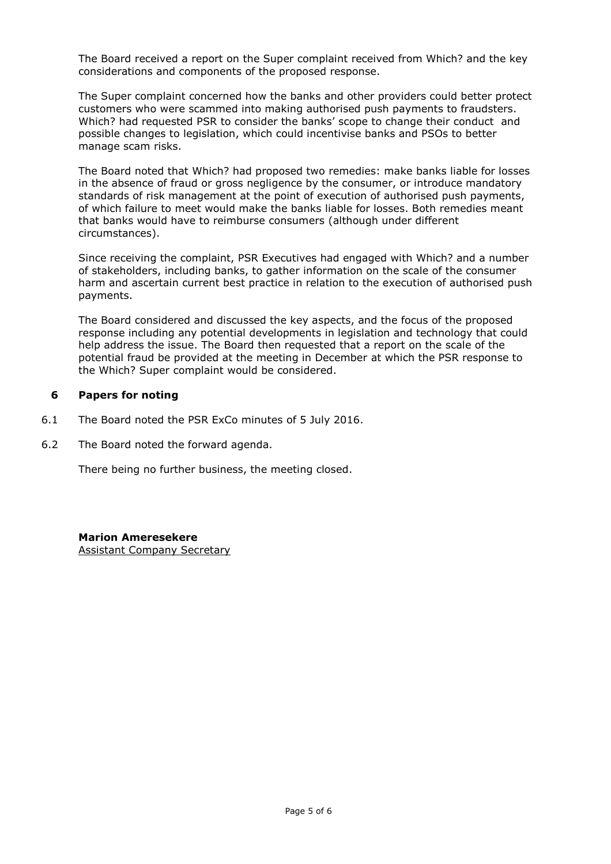The Board received a report on the Super complaint received from Which? and the key considerations and components of the proposed response.

The Super complaint concerned how the banks and other providers could better protect customers who were scammed into making authorised push payments to fraudsters. Which? had requested PSR to consider the banks' scope to change their conduct and possible changes to legislation, which could incentivise banks and PSOs to better manage scam risks.

The Board noted that Which? had proposed two remedies: make banks liable for losses in the absence of fraud or gross negligence by the consumer, or introduce mandatory standards of risk management at the point of execution of authorised push payments, of which failure to meet would make the banks liable for losses. Both remedies meant that banks would have to reimburse consumers (although under different circumstances).

Since receiving the complaint, PSR Executives had engaged with Which? and a number of stakeholders, including banks, to gather information on the scale of the consumer harm and ascertain current best practice in relation to the execution of authorised push payments.

The Board considered and discussed the key aspects, and the focus of the proposed response including any potential developments in legislation and technology that could help address the issue. The Board then requested that a report on the scale of the potential fraud be provided at the meeting in December at which the PSR response to the Which? Super complaint would be considered.

### **6 Papers for noting**

- 6.1 The Board noted the PSR ExCo minutes of 5 July 2016.
- 6.2 The Board noted the forward agenda.

There being no further business, the meeting closed.

#### **Marion Ameresekere**

Assistant Company Secretary